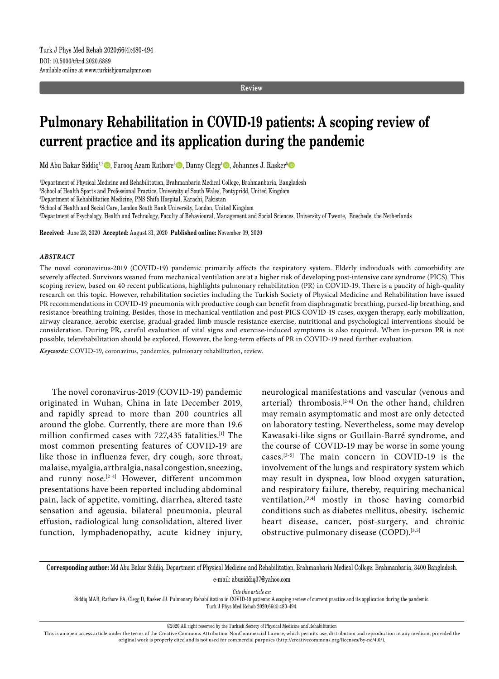**Review**

# **Pulmonary Rehabilitation in COVID-19 patients: A scoping review of current practice and its application during the pandemic**

Md Abu Bakar Siddiq<sup>1,2</sup>©, Farooq Azam Rathore<sup>3</sup>©, Danny Clegg<sup>4</sup>©, Johannes J. Rasker<sup>5</sup>©

1 Department of Physical Medicine and Rehabilitation, Brahmanbaria Medical College, Brahmanbaria, Bangladesh

2 School of Health Sports and Professional Practice, University of South Wales, Pontypridd, United Kingdom

3 Department of Rehabilitation Medicine, PNS Shifa Hospital, Karachi, Pakistan

4 School of Health and Social Care, London South Bank University, London, United Kingdom

5 Department of Psychology, Health and Technology, Faculty of Behavioural, Management and Social Sciences, University of Twente, Enschede, the Netherlands

**Received:** June 23, 2020 **Accepted:** August 31, 2020 **Published online:** November 09, 2020

#### *ABSTRACT*

The novel coronavirus-2019 (COVID-19) pandemic primarily affects the respiratory system. Elderly individuals with comorbidity are severely affected. Survivors weaned from mechanical ventilation are at a higher risk of developing post-intensive care syndrome (PICS). This scoping review, based on 40 recent publications, highlights pulmonary rehabilitation (PR) in COVID-19. There is a paucity of high-quality research on this topic. However, rehabilitation societies including the Turkish Society of Physical Medicine and Rehabilitation have issued PR recommendations in COVID-19 pneumonia with productive cough can benefit from diaphragmatic breathing, pursed-lip breathing, and resistance-breathing training. Besides, those in mechanical ventilation and post-PICS COVID-19 cases, oxygen therapy, early mobilization, airway clearance, aerobic exercise, gradual-graded limb muscle resistance exercise, nutritional and psychological interventions should be consideration. During PR, careful evaluation of vital signs and exercise-induced symptoms is also required. When in-person PR is not possible, telerehabilitation should be explored. However, the long-term effects of PR in COVID-19 need further evaluation.

*Keywords:* COVID-19, coronavirus, pandemics, pulmonary rehabilitation, review.

The novel coronavirus-2019 (COVID-19) pandemic originated in Wuhan, China in late December 2019, and rapidly spread to more than 200 countries all around the globe. Currently, there are more than 19.6 million confirmed cases with 727,435 fatalities.[1] The most common presenting features of COVID-19 are like those in influenza fever, dry cough, sore throat, malaise, myalgia, arthralgia, nasal congestion, sneezing, and runny nose.<sup>[2-4]</sup> However, different uncommon presentations have been reported including abdominal pain, lack of appetite, vomiting, diarrhea, altered taste sensation and ageusia, bilateral pneumonia, pleural effusion, radiological lung consolidation, altered liver function, lymphadenopathy, acute kidney injury, neurological manifestations and vascular (venous and arterial) thrombosis.<sup>[2-6]</sup> On the other hand, children may remain asymptomatic and most are only detected on laboratory testing. Nevertheless, some may develop Kawasaki-like signs or Guillain-Barré syndrome, and the course of COVID-19 may be worse in some young cases.[3-5] The main concern in COVID-19 is the involvement of the lungs and respiratory system which may result in dyspnea, low blood oxygen saturation, and respiratory failure, thereby, requiring mechanical ventilation, $[3,4]$  mostly in those having comorbid conditions such as diabetes mellitus, obesity, ischemic heart disease, cancer, post-surgery, and chronic obstructive pulmonary disease (COPD).<sup>[3,5]</sup>

**Corresponding author:** Md Abu Bakar Siddiq. Department of Physical Medicine and Rehabilitation, Brahmanbaria Medical College, Brahmanbaria, 3400 Bangladesh. e-mail: abusiddiq37@yahoo.com

*Cite this article as:*

Siddiq MAB, Rathore FA, Clegg D, Rasker JJ. Pulmonary Rehabilitation in COVID-19 patients: A scoping review of current practice and its application during the pandemic. Turk J Phys Med Rehab 2020;66(4):480-494.

©2020 All right reserved by the Turkish Society of Physical Medicine and Rehabilitation

This is an open access article under the terms of the Creative Commons Attribution-NonCommercial License, which permits use, distribution and reproduction in any medium, provided the original work is properly cited and is not used for commercial purposes (http://creativecommons.org/licenses/by-nc/4.0/).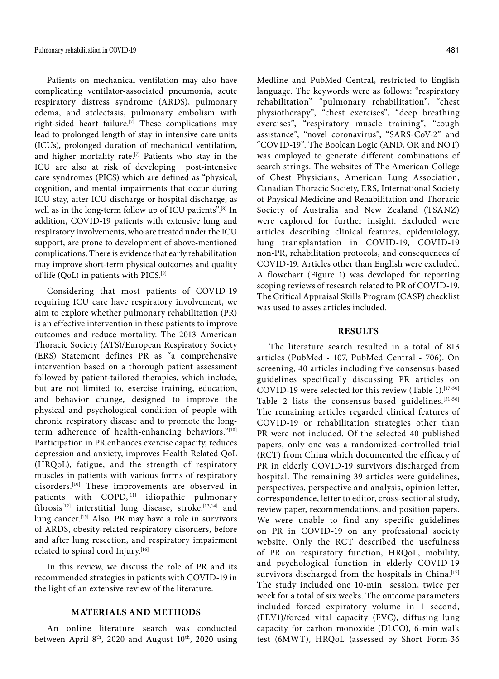Patients on mechanical ventilation may also have complicating ventilator-associated pneumonia, acute respiratory distress syndrome (ARDS), pulmonary edema, and atelectasis, pulmonary embolism with right-sided heart failure.[7] These complications may lead to prolonged length of stay in intensive care units (ICUs), prolonged duration of mechanical ventilation, and higher mortality rate.<sup>[7]</sup> Patients who stay in the ICU are also at risk of developing post-intensive care syndromes (PICS) which are defined as "physical, cognition, and mental impairments that occur during ICU stay, after ICU discharge or hospital discharge, as well as in the long-term follow up of ICU patients".<sup>[8]</sup> In addition, COVID-19 patients with extensive lung and respiratory involvements, who are treated under the ICU support, are prone to development of above-mentioned complications. There is evidence that early rehabilitation may improve short-term physical outcomes and quality of life (QoL) in patients with PICS.[9]

Considering that most patients of COVID-19 requiring ICU care have respiratory involvement, we aim to explore whether pulmonary rehabilitation (PR) is an effective intervention in these patients to improve outcomes and reduce mortality. The 2013 American Thoracic Society (ATS)/European Respiratory Society (ERS) Statement defines PR as "a comprehensive intervention based on a thorough patient assessment followed by patient-tailored therapies, which include, but are not limited to, exercise training, education, and behavior change, designed to improve the physical and psychological condition of people with chronic respiratory disease and to promote the longterm adherence of health-enhancing behaviors."[10] Participation in PR enhances exercise capacity, reduces depression and anxiety, improves Health Related QoL (HRQoL), fatigue, and the strength of respiratory muscles in patients with various forms of respiratory disorders.[10] These improvements are observed in patients with COPD, [11] idiopathic pulmonary fibrosis<sup>[12]</sup> interstitial lung disease, stroke.<sup>[13,14]</sup> and lung cancer.[15] Also, PR may have a role in survivors of ARDS, obesity-related respiratory disorders, before and after lung resection, and respiratory impairment related to spinal cord Injury.[16]

In this review, we discuss the role of PR and its recommended strategies in patients with COVID-19 in the light of an extensive review of the literature.

## **MATERIALS AND METHODS**

An online literature search was conducted between April  $8<sup>th</sup>$ , 2020 and August  $10<sup>th</sup>$ , 2020 using Medline and PubMed Central, restricted to English language. The keywords were as follows: "respiratory rehabilitation" "pulmonary rehabilitation", "chest physiotherapy", "chest exercises", "deep breathing exercises", "respiratory muscle training", "cough assistance", "novel coronavirus", "SARS-CoV-2" and "COVID-19". The Boolean Logic (AND, OR and NOT) was employed to generate different combinations of search strings. The websites of The American College of Chest Physicians, American Lung Association, Canadian Thoracic Society, ERS, International Society of Physical Medicine and Rehabilitation and Thoracic Society of Australia and New Zealand (TSANZ) were explored for further insight. Excluded were articles describing clinical features, epidemiology, lung transplantation in COVID-19, COVID-19 non-PR, rehabilitation protocols, and consequences of COVID-19. Articles other than English were excluded. A flowchart (Figure 1) was developed for reporting scoping reviews of research related to PR of COVID-19. The Critical Appraisal Skills Program (CASP) checklist was used to asses articles included.

#### **RESULTS**

The literature search resulted in a total of 813 articles (PubMed - 107, PubMed Central - 706). On screening, 40 articles including five consensus-based guidelines specifically discussing PR articles on COVID-19 were selected for this review (Table 1).<sup>[17-50]</sup> Table 2 lists the consensus-based guidelines.[51-56] The remaining articles regarded clinical features of COVID-19 or rehabilitation strategies other than PR were not included. Of the selected 40 published papers, only one was a randomized-controlled trial (RCT) from China which documented the efficacy of PR in elderly COVID-19 survivors discharged from hospital. The remaining 39 articles were guidelines, perspectives, perspective and analysis, opinion letter, correspondence, letter to editor, cross-sectional study, review paper, recommendations, and position papers. We were unable to find any specific guidelines on PR in COVID-19 on any professional society website. Only the RCT described the usefulness of PR on respiratory function, HRQoL, mobility, and psychological function in elderly COVID-19 survivors discharged from the hospitals in China.<sup>[17]</sup> The study included one 10-min session, twice per week for a total of six weeks. The outcome parameters included forced expiratory volume in 1 second, (FEV1)/forced vital capacity (FVC), diffusing lung capacity for carbon monoxide (DLCO), 6-min walk test (6MWT), HRQoL (assessed by Short Form-36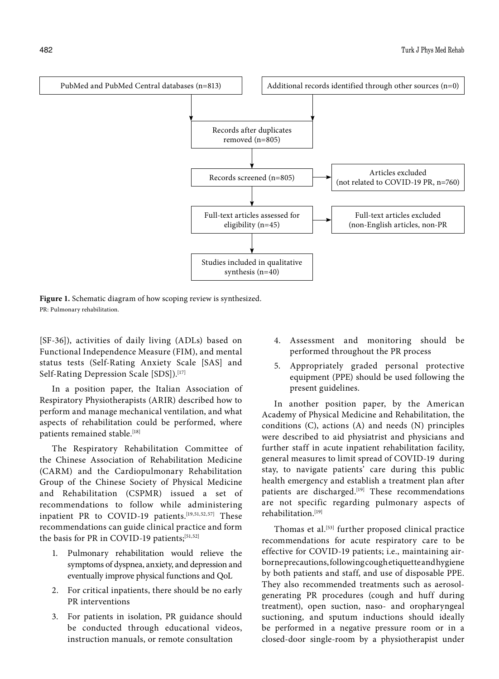

**Figure 1.** Schematic diagram of how scoping review is synthesized. PR: Pulmonary rehabilitation.

[SF-36]), activities of daily living (ADLs) based on Functional Independence Measure (FIM), and mental status tests (Self-Rating Anxiety Scale [SAS] and Self-Rating Depression Scale [SDS]).<sup>[17]</sup>

In a position paper, the Italian Association of Respiratory Physiotherapists (ARIR) described how to perform and manage mechanical ventilation, and what aspects of rehabilitation could be performed, where patients remained stable.<sup>[18]</sup>

The Respiratory Rehabilitation Committee of the Chinese Association of Rehabilitation Medicine (CARM) and the Cardiopulmonary Rehabilitation Group of the Chinese Society of Physical Medicine and Rehabilitation (CSPMR) issued a set of recommendations to follow while administering inpatient PR to COVID-19 patients.<sup>[19,51,52,57]</sup> These recommendations can guide clinical practice and form the basis for PR in COVID-19 patients; [51,52]

- 1. Pulmonary rehabilitation would relieve the symptoms of dyspnea, anxiety, and depression and eventually improve physical functions and QoL
- 2. For critical inpatients, there should be no early PR interventions
- 3. For patients in isolation, PR guidance should be conducted through educational videos, instruction manuals, or remote consultation
- 4. Assessment and monitoring should be performed throughout the PR process
- 5. Appropriately graded personal protective equipment (PPE) should be used following the present guidelines.

In another position paper, by the American Academy of Physical Medicine and Rehabilitation, the conditions (C), actions (A) and needs (N) principles were described to aid physiatrist and physicians and further staff in acute inpatient rehabilitation facility, general measures to limit spread of COVID-19 during stay, to navigate patients' care during this public health emergency and establish a treatment plan after patients are discharged.<sup>[19]</sup> These recommendations are not specific regarding pulmonary aspects of rehabilitation.[19]

Thomas et al.<sup>[53]</sup> further proposed clinical practice recommendations for acute respiratory care to be effective for COVID-19 patients; i.e., maintaining airborne precautions, following cough etiquette and hygiene by both patients and staff, and use of disposable PPE. They also recommended treatments such as aerosolgenerating PR procedures (cough and huff during treatment), open suction, naso- and oropharyngeal suctioning, and sputum inductions should ideally be performed in a negative pressure room or in a closed-door single-room by a physiotherapist under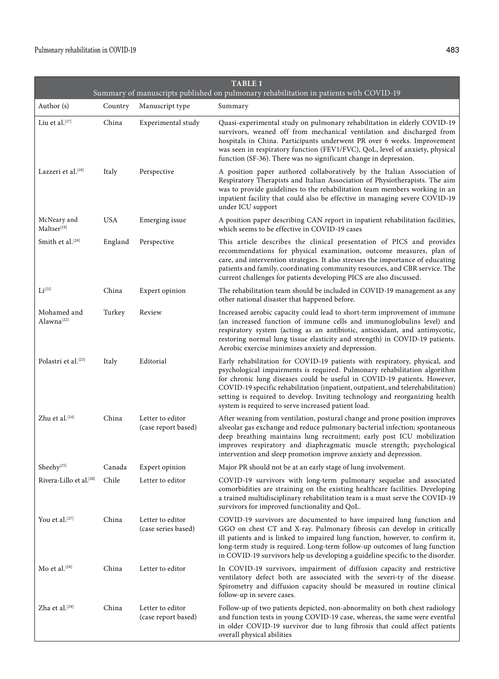|                                       |            |                                         | Summary of manuscripts published on pulmonary rehabilitation in patients with COVID-19                                                                                                                                                                                                                                                                                                                                                                        |
|---------------------------------------|------------|-----------------------------------------|---------------------------------------------------------------------------------------------------------------------------------------------------------------------------------------------------------------------------------------------------------------------------------------------------------------------------------------------------------------------------------------------------------------------------------------------------------------|
| Author (s)                            | Country    | Manuscript type                         | Summary                                                                                                                                                                                                                                                                                                                                                                                                                                                       |
| Liu et al.[17]                        | China      | Experimental study                      | Quasi-experimental study on pulmonary rehabilitation in elderly COVID-19<br>survivors, weaned off from mechanical ventilation and discharged from<br>hospitals in China. Participants underwent PR over 6 weeks. Improvement<br>was seen in respiratory function (FEV1/FVC), QoL, level of anxiety, physical<br>function (SF-36). There was no significant change in depression.                                                                              |
| Lazzeri et al.[18]                    | Italy      | Perspective                             | A position paper authored collaboratively by the Italian Association of<br>Respiratory Therapists and Italian Association of Physiotherapists. The aim<br>was to provide guidelines to the rehabilitation team members working in an<br>inpatient facility that could also be effective in managing severe COVID-19<br>under ICU support                                                                                                                      |
| McNeary and<br>Maltser[19]            | <b>USA</b> | Emerging issue                          | A position paper describing CAN report in inpatient rehabilitation facilities,<br>which seems to be effective in COVID-19 cases                                                                                                                                                                                                                                                                                                                               |
| Smith et al.[20]                      | England    | Perspective                             | This article describes the clinical presentation of PICS and provides<br>recommendations for physical examination, outcome measures, plan of<br>care, and intervention strategies. It also stresses the importance of educating<br>patients and family, coordinating community resources, and CBR service. The<br>current challenges for patients developing PICS are also discussed.                                                                         |
| Li <sup>[21]</sup>                    | China      | Expert opinion                          | The rehabilitation team should be included in COVID-19 management as any<br>other national disaster that happened before.                                                                                                                                                                                                                                                                                                                                     |
| Mohamed and<br>Alawna <sup>[22]</sup> | Turkey     | Review                                  | Increased aerobic capacity could lead to short-term improvement of immune<br>(an increased function of immune cells and immunoglobulins level) and<br>respiratory system (acting as an antibiotic, antioxidant, and antimycotic,<br>restoring normal lung tissue elasticity and strength) in COVID-19 patients.<br>Aerobic exercise minimizes anxiety and depression.                                                                                         |
| Polastri et al.[23]                   | Italy      | Editorial                               | Early rehabilitation for COVID-19 patients with respiratory, physical, and<br>psychological impairments is required. Pulmonary rehabilitation algorithm<br>for chronic lung diseases could be useful in COVID-19 patients. However,<br>COVID-19 specific rehabilitation (inpatient, outpatient, and telerehabilitation)<br>setting is required to develop. Inviting technology and reorganizing health<br>system is required to serve increased patient load. |
| Zhu et al.[24]                        | China      | Letter to editor<br>(case report based) | After weaning from ventilation, postural change and prone position improves<br>alveolar gas exchange and reduce pulmonary bacterial infection; spontaneous<br>deep breathing maintains lung recruitment; early post ICU mobilization<br>improves respiratory and diaphragmatic muscle strength; psychological<br>intervention and sleep promotion improve anxiety and depression.                                                                             |
| Sheehy <sup>[25]</sup>                | Canada     | Expert opinion                          | Major PR should not be at an early stage of lung involvement.                                                                                                                                                                                                                                                                                                                                                                                                 |
| Rivera-Lillo et al. <sup>[26]</sup>   | Chile      | Letter to editor                        | COVID-19 survivors with long-term pulmonary sequelae and associated<br>comorbidities are straining on the existing healthcare facilities. Developing<br>a trained multidisciplinary rehabilitation team is a must serve the COVID-19<br>survivors for improved functionality and QoL.                                                                                                                                                                         |
| You et al.[27]                        | China      | Letter to editor<br>(case series based) | COVID-19 survivors are documented to have impaired lung function and<br>GGO on chest CT and X-ray. Pulmonary fibrosis can develop in critically<br>ill patients and is linked to impaired lung function, however, to confirm it,<br>long-term study is required. Long-term follow-up outcomes of lung function<br>in COVID-19 survivors help us developing a guideline specific to the disorder.                                                              |
| Mo et al. $[28]$                      | China      | Letter to editor                        | In COVID-19 survivors, impairment of diffusion capacity and restrictive<br>ventilatory defect both are associated with the severi-ty of the disease.<br>Spirometry and diffusion capacity should be measured in routine clinical<br>follow-up in severe cases.                                                                                                                                                                                                |
| Zha et al.[29]                        | China      | Letter to editor<br>(case report based) | Follow-up of two patients depicted, non-abnormality on both chest radiology<br>and function tests in young COVID-19 case, whereas, the same were eventful<br>in older COVID-19 survivor due to lung fibrosis that could affect patients<br>overall physical abilities                                                                                                                                                                                         |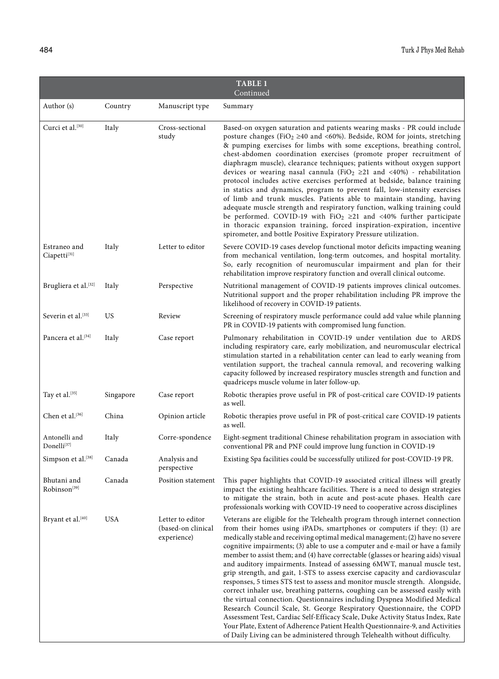| <b>TABLE 1</b><br>Continued              |           |                                                       |                                                                                                                                                                                                                                                                                                                                                                                                                                                                                                                                                                                                                                                                                                                                                                                                                                                                                                                                                                                                                                                                                                                                                       |  |  |
|------------------------------------------|-----------|-------------------------------------------------------|-------------------------------------------------------------------------------------------------------------------------------------------------------------------------------------------------------------------------------------------------------------------------------------------------------------------------------------------------------------------------------------------------------------------------------------------------------------------------------------------------------------------------------------------------------------------------------------------------------------------------------------------------------------------------------------------------------------------------------------------------------------------------------------------------------------------------------------------------------------------------------------------------------------------------------------------------------------------------------------------------------------------------------------------------------------------------------------------------------------------------------------------------------|--|--|
| Author (s)                               | Country   | Manuscript type                                       | Summary                                                                                                                                                                                                                                                                                                                                                                                                                                                                                                                                                                                                                                                                                                                                                                                                                                                                                                                                                                                                                                                                                                                                               |  |  |
| Curci et al.[30]                         | Italy     | Cross-sectional<br>study                              | Based-on oxygen saturation and patients wearing masks - PR could include<br>posture changes (FiO <sub>2</sub> $\geq$ 40 and <60%). Bedside, ROM for joints, stretching<br>& pumping exercises for limbs with some exceptions, breathing control,<br>chest-abdomen coordination exercises (promote proper recruitment of<br>diaphragm muscle), clearance techniques; patients without oxygen support<br>devices or wearing nasal cannula (FiO <sub>2</sub> $\geq$ 21 and <40%) - rehabilitation<br>protocol includes active exercises performed at bedside, balance training<br>in statics and dynamics, program to prevent fall, low-intensity exercises<br>of limb and trunk muscles. Patients able to maintain standing, having<br>adequate muscle strength and respiratory function, walking training could<br>be performed. COVID-19 with $FiO_2 \geq 21$ and <40% further participate<br>in thoracic expansion training, forced inspiration-expiration, incentive<br>spirometer, and bottle Positive Expiratory Pressure utilization.                                                                                                            |  |  |
| Estraneo and<br>Ciapetti<br>[31]         | Italy     | Letter to editor                                      | Severe COVID-19 cases develop functional motor deficits impacting weaning<br>from mechanical ventilation, long-term outcomes, and hospital mortality.<br>So, early recognition of neuromuscular impairment and plan for their<br>rehabilitation improve respiratory function and overall clinical outcome.                                                                                                                                                                                                                                                                                                                                                                                                                                                                                                                                                                                                                                                                                                                                                                                                                                            |  |  |
| Brugliera et al.[32]                     | Italy     | Perspective                                           | Nutritional management of COVID-19 patients improves clinical outcomes.<br>Nutritional support and the proper rehabilitation including PR improve the<br>likelihood of recovery in COVID-19 patients.                                                                                                                                                                                                                                                                                                                                                                                                                                                                                                                                                                                                                                                                                                                                                                                                                                                                                                                                                 |  |  |
| Severin et al. <sup>[33]</sup>           | US        | Review                                                | Screening of respiratory muscle performance could add value while planning<br>PR in COVID-19 patients with compromised lung function.                                                                                                                                                                                                                                                                                                                                                                                                                                                                                                                                                                                                                                                                                                                                                                                                                                                                                                                                                                                                                 |  |  |
| Pancera et al. <sup>[34]</sup>           | Italy     | Case report                                           | Pulmonary rehabilitation in COVID-19 under ventilation due to ARDS<br>including respiratory care, early mobilization, and neuromuscular electrical<br>stimulation started in a rehabilitation center can lead to early weaning from<br>ventilation support, the tracheal cannula removal, and recovering walking<br>capacity followed by increased respiratory muscles strength and function and<br>quadriceps muscle volume in later follow-up.                                                                                                                                                                                                                                                                                                                                                                                                                                                                                                                                                                                                                                                                                                      |  |  |
| Tay et al.[35]                           | Singapore | Case report                                           | Robotic therapies prove useful in PR of post-critical care COVID-19 patients<br>as well.                                                                                                                                                                                                                                                                                                                                                                                                                                                                                                                                                                                                                                                                                                                                                                                                                                                                                                                                                                                                                                                              |  |  |
| Chen et al.[36]                          | China     | Opinion article                                       | Robotic therapies prove useful in PR of post-critical care COVID-19 patients<br>as well.                                                                                                                                                                                                                                                                                                                                                                                                                                                                                                                                                                                                                                                                                                                                                                                                                                                                                                                                                                                                                                                              |  |  |
| Antonelli and<br>Donelli <sup>[37]</sup> | Italy     | Corre-spondence                                       | Eight-segment traditional Chinese rehabilitation program in association with<br>conventional PR and PNF could improve lung function in COVID-19                                                                                                                                                                                                                                                                                                                                                                                                                                                                                                                                                                                                                                                                                                                                                                                                                                                                                                                                                                                                       |  |  |
| Simpson et al. <sup>[38]</sup>           | Canada    | Analysis and<br>perspective                           | Existing Spa facilities could be successfully utilized for post-COVID-19 PR.                                                                                                                                                                                                                                                                                                                                                                                                                                                                                                                                                                                                                                                                                                                                                                                                                                                                                                                                                                                                                                                                          |  |  |
| Bhutani and<br>Robinson <sup>[39]</sup>  | Canada    | Position statement                                    | This paper highlights that COVID-19 associated critical illness will greatly<br>impact the existing healthcare facilities. There is a need to design strategies<br>to mitigate the strain, both in acute and post-acute phases. Health care<br>professionals working with COVID-19 need to cooperative across disciplines                                                                                                                                                                                                                                                                                                                                                                                                                                                                                                                                                                                                                                                                                                                                                                                                                             |  |  |
| Bryant et al. <sup>[40]</sup>            | USA       | Letter to editor<br>(based-on clinical<br>experience) | Veterans are eligible for the Telehealth program through internet connection<br>from their homes using iPADs, smartphones or computers if they: (1) are<br>medically stable and receiving optimal medical management; (2) have no severe<br>cognitive impairments; (3) able to use a computer and e-mail or have a family<br>member to assist them; and (4) have correctable (glasses or hearing aids) visual<br>and auditory impairments. Instead of assessing 6MWT, manual muscle test,<br>grip strength, and gait, 1-STS to assess exercise capacity and cardiovascular<br>responses, 5 times STS test to assess and monitor muscle strength. Alongside,<br>correct inhaler use, breathing patterns, coughing can be assessed easily with<br>the virtual connection. Questionnaires including Dyspnea Modified Medical<br>Research Council Scale, St. George Respiratory Questionnaire, the COPD<br>Assessment Test, Cardiac Self-Efficacy Scale, Duke Activity Status Index, Rate<br>Your Plate, Extent of Adherence Patient Health Questionnaire-9, and Activities<br>of Daily Living can be administered through Telehealth without difficulty. |  |  |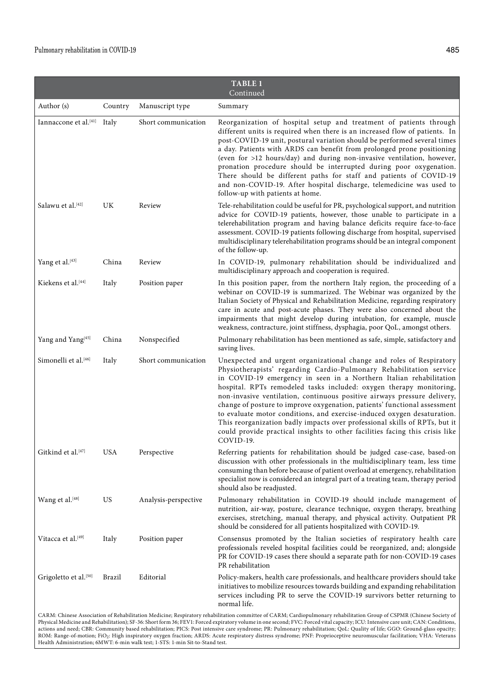| <b>TABLE 1</b><br>Continued             |            |                      |                                                                                                                                                                                                                                                                                                                                                                                                                                                                                                                                                                                                                                                                                                         |  |
|-----------------------------------------|------------|----------------------|---------------------------------------------------------------------------------------------------------------------------------------------------------------------------------------------------------------------------------------------------------------------------------------------------------------------------------------------------------------------------------------------------------------------------------------------------------------------------------------------------------------------------------------------------------------------------------------------------------------------------------------------------------------------------------------------------------|--|
| Author (s)                              | Country    | Manuscript type      | Summary                                                                                                                                                                                                                                                                                                                                                                                                                                                                                                                                                                                                                                                                                                 |  |
| Iannaccone et al. <sup>[41]</sup> Italy |            | Short communication  | Reorganization of hospital setup and treatment of patients through<br>different units is required when there is an increased flow of patients. In<br>post-COVID-19 unit, postural variation should be performed several times<br>a day. Patients with ARDS can benefit from prolonged prone positioning<br>(even for >12 hours/day) and during non-invasive ventilation, however,<br>pronation procedure should be interrupted during poor oxygenation.<br>There should be different paths for staff and patients of COVID-19<br>and non-COVID-19. After hospital discharge, telemedicine was used to<br>follow-up with patients at home.                                                               |  |
| Salawu et al.[42]                       | UK         | Review               | Tele-rehabilitation could be useful for PR, psychological support, and nutrition<br>advice for COVID-19 patients, however, those unable to participate in a<br>telerehabilitation program and having balance deficits require face-to-face<br>assessment. COVID-19 patients following discharge from hospital, supervised<br>multidisciplinary telerehabilitation programs should be an integral component<br>of the follow-up.                                                                                                                                                                                                                                                                         |  |
| Yang et al.[43]                         | China      | Review               | In COVID-19, pulmonary rehabilitation should be individualized and<br>multidisciplinary approach and cooperation is required.                                                                                                                                                                                                                                                                                                                                                                                                                                                                                                                                                                           |  |
| Kiekens et al.[44]                      | Italy      | Position paper       | In this position paper, from the northern Italy region, the proceeding of a<br>webinar on COVID-19 is summarized. The Webinar was organized by the<br>Italian Society of Physical and Rehabilitation Medicine, regarding respiratory<br>care in acute and post-acute phases. They were also concerned about the<br>impairments that might develop during intubation, for example, muscle<br>weakness, contracture, joint stiffness, dysphagia, poor QoL, amongst others.                                                                                                                                                                                                                                |  |
| Yang and Yang <sup>[45]</sup>           | China      | Nonspecified         | Pulmonary rehabilitation has been mentioned as safe, simple, satisfactory and<br>saving lives.                                                                                                                                                                                                                                                                                                                                                                                                                                                                                                                                                                                                          |  |
| Simonelli et al. <sup>[46]</sup>        | Italy      | Short communication  | Unexpected and urgent organizational change and roles of Respiratory<br>Physiotherapists' regarding Cardio-Pulmonary Rehabilitation service<br>in COVID-19 emergency in seen in a Northern Italian rehabilitation<br>hospital. RPTs remodeled tasks included: oxygen therapy monitoring,<br>non-invasive ventilation, continuous positive airways pressure delivery,<br>change of posture to improve oxygenation, patients' functional assessment<br>to evaluate motor conditions, and exercise-induced oxygen desaturation.<br>This reorganization badly impacts over professional skills of RPTs, but it<br>could provide practical insights to other facilities facing this crisis like<br>COVID-19. |  |
| Gitkind et al. <sup>[47]</sup>          | <b>USA</b> | Perspective          | Referring patients for rehabilitation should be judged case-case, based-on<br>discussion with other professionals in the multidisciplinary team, less time<br>consuming than before because of patient overload at emergency, rehabilitation<br>specialist now is considered an integral part of a treating team, therapy period<br>should also be readjusted.                                                                                                                                                                                                                                                                                                                                          |  |
| Wang et al.[48]                         | US         | Analysis-perspective | Pulmonary rehabilitation in COVID-19 should include management of<br>nutrition, air-way, posture, clearance technique, oxygen therapy, breathing<br>exercises, stretching, manual therapy, and physical activity. Outpatient PR<br>should be considered for all patients hospitalized with COVID-19.                                                                                                                                                                                                                                                                                                                                                                                                    |  |
| Vitacca et al. <sup>[49]</sup>          | Italy      | Position paper       | Consensus promoted by the Italian societies of respiratory health care<br>professionals reveled hospital facilities could be reorganized, and; alongside<br>PR for COVID-19 cases there should a separate path for non-COVID-19 cases<br>PR rehabilitation                                                                                                                                                                                                                                                                                                                                                                                                                                              |  |
| Grigoletto et al.[50]                   | Brazil     | Editorial            | Policy-makers, health care professionals, and healthcare providers should take<br>initiatives to mobilize resources towards building and expanding rehabilitation<br>services including PR to serve the COVID-19 survivors better returning to<br>normal life.                                                                                                                                                                                                                                                                                                                                                                                                                                          |  |

CARM: Chinese Association of Rehabilitation Medicine; Respiratory rehabilitation committee of CARM; Cardiopulmonary rehabilitation Group of CSPMR (Chinese Society of Physical Medicine and Rehabilitation); SF-36: Short form 36; FEV1: Forced expiratory volume in one second; FVC: Forced vital capacity; ICU: Intensive care unit; CAN: Conditions, actions and need; CBR: Community based rehabilitation; PICS: Post intensive care syndrome; PR: Pulmonary rehabilitation; QoL: Quality of life; GGO: Ground-glass opacity; ROM: Range-of-motion; FiO2: High inspiratory oxygen fraction; ARDS: Acute respiratory distress syndrome; PNF: Proprioceptive neuromuscular facilitation; VHA: Veterans<br>Health Administration; 6MWT: 6-min walk test; 1-STS: 1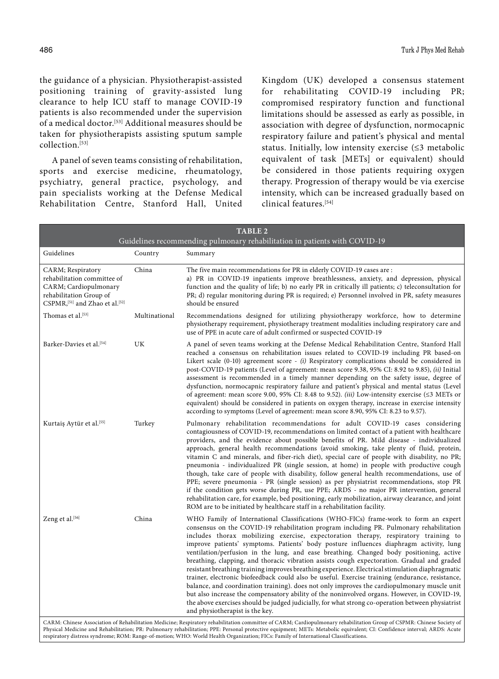the guidance of a physician. Physiotherapist-assisted positioning training of gravity-assisted lung clearance to help ICU staff to manage COVID-19 patients is also recommended under the supervision of a medical doctor.[53] Additional measures should be taken for physiotherapists assisting sputum sample collection.[53]

A panel of seven teams consisting of rehabilitation, sports and exercise medicine, rheumatology, psychiatry, general practice, psychology, and pain specialists working at the Defense Medical Rehabilitation Centre, Stanford Hall, United Kingdom (UK) developed a consensus statement for rehabilitating COVID-19 including PR; compromised respiratory function and functional limitations should be assessed as early as possible, in association with degree of dysfunction, normocapnic respiratory failure and patient's physical and mental status. Initially, low intensity exercise  $( \leq 3$  metabolic equivalent of task [METs] or equivalent) should be considered in those patients requiring oxygen therapy. Progression of therapy would be via exercise intensity, which can be increased gradually based on clinical features.[54]

|                                                                            | <b>TABLE 2</b>                                                                                                                                                                                                                                                                                                                                                                                                                                                                                                                                                                                                                                                                                                                                                                                                                                                                                                                                                                                                                                                                                         |  |  |  |  |
|----------------------------------------------------------------------------|--------------------------------------------------------------------------------------------------------------------------------------------------------------------------------------------------------------------------------------------------------------------------------------------------------------------------------------------------------------------------------------------------------------------------------------------------------------------------------------------------------------------------------------------------------------------------------------------------------------------------------------------------------------------------------------------------------------------------------------------------------------------------------------------------------------------------------------------------------------------------------------------------------------------------------------------------------------------------------------------------------------------------------------------------------------------------------------------------------|--|--|--|--|
| Guidelines recommending pulmonary rehabilitation in patients with COVID-19 |                                                                                                                                                                                                                                                                                                                                                                                                                                                                                                                                                                                                                                                                                                                                                                                                                                                                                                                                                                                                                                                                                                        |  |  |  |  |
| Country                                                                    | Summary                                                                                                                                                                                                                                                                                                                                                                                                                                                                                                                                                                                                                                                                                                                                                                                                                                                                                                                                                                                                                                                                                                |  |  |  |  |
| China                                                                      | The five main recommendations for PR in elderly COVID-19 cases are :<br>a) PR in COVID-19 inpatients improve breathlessness, anxiety, and depression, physical<br>function and the quality of life; b) no early PR in critically ill patients; c) teleconsultation for<br>PR; d) regular monitoring during PR is required; e) Personnel involved in PR, safety measures<br>should be ensured                                                                                                                                                                                                                                                                                                                                                                                                                                                                                                                                                                                                                                                                                                           |  |  |  |  |
| Multinational                                                              | Recommendations designed for utilizing physiotherapy workforce, how to determine<br>physiotherapy requirement, physiotherapy treatment modalities including respiratory care and<br>use of PPE in acute care of adult confirmed or suspected COVID-19                                                                                                                                                                                                                                                                                                                                                                                                                                                                                                                                                                                                                                                                                                                                                                                                                                                  |  |  |  |  |
| UK                                                                         | A panel of seven teams working at the Defense Medical Rehabilitation Centre, Stanford Hall<br>reached a consensus on rehabilitation issues related to COVID-19 including PR based-on<br>Likert scale $(0-10)$ agreement score - <i>(i)</i> Respiratory complications should be considered in<br>post-COVID-19 patients (Level of agreement: mean score 9.38, 95% CI: 8.92 to 9.85), <i>(ii)</i> Initial<br>assessment is recommended in a timely manner depending on the safety issue, degree of<br>dysfunction, normocapnic respiratory failure and patient's physical and mental status (Level<br>of agreement: mean score 9.00, 95% CI: 8.48 to 9.52). (iii) Low-intensity exercise ( $\leq$ 3 METs or<br>equivalent) should be considered in patients on oxygen therapy, increase in exercise intensity<br>according to symptoms (Level of agreement: mean score 8.90, 95% CI: 8.23 to 9.57).                                                                                                                                                                                                      |  |  |  |  |
| Turkey                                                                     | Pulmonary rehabilitation recommendations for adult COVID-19 cases considering<br>contagiousness of COVID-19, recommendations on limited contact of a patient with healthcare<br>providers, and the evidence about possible benefits of PR. Mild disease - individualized<br>approach, general health recommendations (avoid smoking, take plenty of fluid, protein,<br>vitamin C and minerals, and fiber-rich diet), special care of people with disability, no PR;<br>pneumonia - individualized PR (single session, at home) in people with productive cough<br>though, take care of people with disability, follow general health recommendations, use of<br>PPE; severe pneumonia - PR (single session) as per physiatrist recommendations, stop PR<br>if the condition gets worse during PR, use PPE; ARDS - no major PR intervention, general<br>rehabilitation care, for example, bed positioning, early mobilization, airway clearance, and joint<br>ROM are to be initiated by healthcare staff in a rehabilitation facility.                                                                 |  |  |  |  |
| China                                                                      | WHO Family of International Classifications (WHO-FICs) frame-work to form an expert<br>consensus on the COVID-19 rehabilitation program including PR. Pulmonary rehabilitation<br>includes thorax mobilizing exercise, expectoration therapy, respiratory training to<br>improve patients' symptoms. Patients' body posture influences diaphragm activity, lung<br>ventilation/perfusion in the lung, and ease breathing. Changed body positioning, active<br>breathing, clapping, and thoracic vibration assists cough expectoration. Gradual and graded<br>resistant breathing training improves breathing experience. Electrical stimulation diaphragmatic<br>trainer, electronic biofeedback could also be useful. Exercise training (endurance, resistance,<br>balance, and coordination training). does not only improves the cardiopulmonary muscle unit<br>but also increase the compensatory ability of the noninvolved organs. However, in COVID-19,<br>the above exercises should be judged judicially, for what strong co-operation between physiatrist<br>and physiotherapist is the key. |  |  |  |  |
|                                                                            |                                                                                                                                                                                                                                                                                                                                                                                                                                                                                                                                                                                                                                                                                                                                                                                                                                                                                                                                                                                                                                                                                                        |  |  |  |  |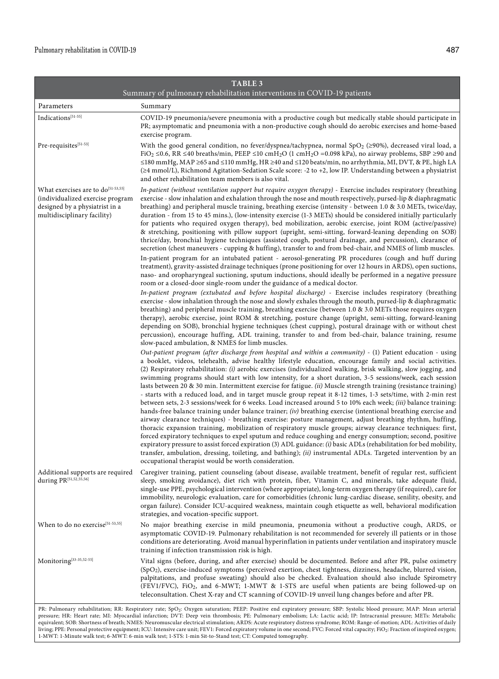|                                                                                                                                                     | <b>TABLE 3</b>                                                                                                                                                                                                                                                                                                                                                                                                                                                                                                                                                                                                                                                                                                                                                                                                                                                                                                                                                                                                                                                                                                                                                                                                                                                                                                                                                                                                                                                                                                                                                                                                                                                                                                                                                                                                                                                                                                                                                                                                                                                                                                                                                                                                                                                                                                                                                                                                                                                                                                                                                                                                                                                                                                                                                                                                                                                                                                                                                                                                                                                                                                                                                                                                                                                                                                                                                                                                                                                                                                                                                                                                                                             |
|-----------------------------------------------------------------------------------------------------------------------------------------------------|------------------------------------------------------------------------------------------------------------------------------------------------------------------------------------------------------------------------------------------------------------------------------------------------------------------------------------------------------------------------------------------------------------------------------------------------------------------------------------------------------------------------------------------------------------------------------------------------------------------------------------------------------------------------------------------------------------------------------------------------------------------------------------------------------------------------------------------------------------------------------------------------------------------------------------------------------------------------------------------------------------------------------------------------------------------------------------------------------------------------------------------------------------------------------------------------------------------------------------------------------------------------------------------------------------------------------------------------------------------------------------------------------------------------------------------------------------------------------------------------------------------------------------------------------------------------------------------------------------------------------------------------------------------------------------------------------------------------------------------------------------------------------------------------------------------------------------------------------------------------------------------------------------------------------------------------------------------------------------------------------------------------------------------------------------------------------------------------------------------------------------------------------------------------------------------------------------------------------------------------------------------------------------------------------------------------------------------------------------------------------------------------------------------------------------------------------------------------------------------------------------------------------------------------------------------------------------------------------------------------------------------------------------------------------------------------------------------------------------------------------------------------------------------------------------------------------------------------------------------------------------------------------------------------------------------------------------------------------------------------------------------------------------------------------------------------------------------------------------------------------------------------------------------------------------------------------------------------------------------------------------------------------------------------------------------------------------------------------------------------------------------------------------------------------------------------------------------------------------------------------------------------------------------------------------------------------------------------------------------------------------------------------------|
|                                                                                                                                                     | Summary of pulmonary rehabilitation interventions in COVID-19 patients                                                                                                                                                                                                                                                                                                                                                                                                                                                                                                                                                                                                                                                                                                                                                                                                                                                                                                                                                                                                                                                                                                                                                                                                                                                                                                                                                                                                                                                                                                                                                                                                                                                                                                                                                                                                                                                                                                                                                                                                                                                                                                                                                                                                                                                                                                                                                                                                                                                                                                                                                                                                                                                                                                                                                                                                                                                                                                                                                                                                                                                                                                                                                                                                                                                                                                                                                                                                                                                                                                                                                                                     |
| Parameters                                                                                                                                          | Summary                                                                                                                                                                                                                                                                                                                                                                                                                                                                                                                                                                                                                                                                                                                                                                                                                                                                                                                                                                                                                                                                                                                                                                                                                                                                                                                                                                                                                                                                                                                                                                                                                                                                                                                                                                                                                                                                                                                                                                                                                                                                                                                                                                                                                                                                                                                                                                                                                                                                                                                                                                                                                                                                                                                                                                                                                                                                                                                                                                                                                                                                                                                                                                                                                                                                                                                                                                                                                                                                                                                                                                                                                                                    |
| Indications[51-55]                                                                                                                                  | COVID-19 pneumonia/severe pneumonia with a productive cough but medically stable should participate in<br>PR; asymptomatic and pneumonia with a non-productive cough should do aerobic exercises and home-based<br>exercise program.                                                                                                                                                                                                                                                                                                                                                                                                                                                                                                                                                                                                                                                                                                                                                                                                                                                                                                                                                                                                                                                                                                                                                                                                                                                                                                                                                                                                                                                                                                                                                                                                                                                                                                                                                                                                                                                                                                                                                                                                                                                                                                                                                                                                                                                                                                                                                                                                                                                                                                                                                                                                                                                                                                                                                                                                                                                                                                                                                                                                                                                                                                                                                                                                                                                                                                                                                                                                                       |
| Pre-requisites[51-53]                                                                                                                               | With the good general condition, no fever/dyspnea/tachypnea, normal SpO <sub>2</sub> ( $\geq$ 90%), decreased viral load, a<br>FiO <sub>2</sub> $\leq$ 0.6, RR $\leq$ 40 breaths/min, PEEP $\leq$ 10 cmH <sub>2</sub> O (1 cmH <sub>2</sub> O = 0.098 kPa), no airway problems, SBP $\geq$ 90 and<br>≤180 mmHg, MAP ≥65 and ≤110 mmHg, HR ≥40 and ≤120 beats/min, no arrhythmia, MI, DVT, & PE, high LA<br>(≥4 mmol/L), Richmond Agitation-Sedation Scale score: -2 to +2, low IP. Understanding between a physiatrist<br>and other rehabilitation team members is also vital.                                                                                                                                                                                                                                                                                                                                                                                                                                                                                                                                                                                                                                                                                                                                                                                                                                                                                                                                                                                                                                                                                                                                                                                                                                                                                                                                                                                                                                                                                                                                                                                                                                                                                                                                                                                                                                                                                                                                                                                                                                                                                                                                                                                                                                                                                                                                                                                                                                                                                                                                                                                                                                                                                                                                                                                                                                                                                                                                                                                                                                                                             |
| What exercises are to do <sup>[51-53,55]</sup><br>(individualized exercise program<br>designed by a physiatrist in a<br>multidisciplinary facility) | In-patient (without ventilation support but require oxygen therapy) - Exercise includes respiratory (breathing<br>exercise - slow inhalation and exhalation through the nose and mouth respectively, pursed-lip & diaphragmatic<br>breathing) and peripheral muscle training, breathing exercise (intensity - between 1.0 & 3.0 METs, twice/day,<br>duration - from 15 to 45 mins.), (low-intensity exercise (1-3 METs) should be considered initially particularly<br>for patients who required oxygen therapy), bed mobilization, aerobic exercise, joint ROM (active/passive)<br>& stretching, positioning with pillow support (upright, semi-sitting, forward-leaning depending on SOB)<br>thrice/day, bronchial hygiene techniques (assisted cough, postural drainage, and percussion), clearance of<br>secretion (chest maneuvers - cupping & huffing), transfer to and from bed-chair, and NMES of limb muscles.<br>In-patient program for an intubated patient - aerosol-generating PR procedures (cough and huff during<br>treatment), gravity-assisted drainage techniques (prone positioning for over 12 hours in ARDS), open suctions,<br>naso- and oropharyngeal suctioning, sputum inductions, should ideally be performed in a negative pressure<br>room or a closed-door single-room under the guidance of a medical doctor.<br>In-patient program (extubated and before hospital discharge) - Exercise includes respiratory (breathing<br>exercise - slow inhalation through the nose and slowly exhales through the mouth, pursed-lip & diaphragmatic<br>breathing) and peripheral muscle training, breathing exercise (between 1.0 & 3.0 METs those requires oxygen<br>therapy), aerobic exercise, joint ROM & stretching, posture change (upright, semi-sitting, forward-leaning<br>depending on SOB), bronchial hygiene techniques (chest cupping), postural drainage with or without chest<br>percussion), encourage huffing, ADL training, transfer to and from bed-chair, balance training, resume<br>slow-paced ambulation, & NMES for limb muscles.<br>Out-patient program (after discharge from hospital and within a community) - (1) Patient education - using<br>a booklet, videos, telehealth, advise healthy lifestyle education, encourage family and social activities.<br>(2) Respiratory rehabilitation: (i) aerobic exercises (individualized walking, brisk walking, slow jogging, and<br>swimming programs should start with low intensity, for a short duration, 3-5 sessions/week, each session<br>lasts between 20 & 30 min. Intermittent exercise for fatigue. (ii) Muscle strength training (resistance training)<br>- starts with a reduced load, and in target muscle group repeat it 8-12 times, 1-3 sets/time, with 2-min rest<br>between sets, 2-3 sessions/week for 6 weeks. Load increased around 5 to 10% each week; (iii) balance training:<br>hands-free balance training under balance trainer; $(iv)$ breathing exercise (intentional breathing exercise and<br>airway clearance techniques) - breathing exercise: posture management, adjust breathing rhythm, huffing,<br>thoracic expansion training, mobilization of respiratory muscle groups; airway clearance techniques: first,<br>forced expiratory techniques to expel sputum and reduce coughing and energy consumption; second, positive<br>expiratory pressure to assist forced expiration (3) ADL guidance: (i) basic ADLs (rehabilitation for bed mobility,<br>transfer, ambulation, dressing, toileting, and bathing); (ii) instrumental ADLs. Targeted intervention by an<br>occupational therapist would be worth consideration. |
| Additional supports are required<br>during PR[51,52,55,56]                                                                                          | Caregiver training, patient counseling (about disease, available treatment, benefit of regular rest, sufficient<br>sleep, smoking avoidance), diet rich with protein, fiber, Vitamin C, and minerals, take adequate fluid,<br>single-use PPE, psychological intervention (where appropriate), long-term oxygen therapy (if required), care for<br>immobility, neurologic evaluation, care for comorbidities (chronic lung-cardiac disease, senility, obesity, and<br>organ failure). Consider ICU-acquired weakness, maintain cough etiquette as well, behavioral modification<br>strategies, and vocation-specific support.                                                                                                                                                                                                                                                                                                                                                                                                                                                                                                                                                                                                                                                                                                                                                                                                                                                                                                                                                                                                                                                                                                                                                                                                                                                                                                                                                                                                                                                                                                                                                                                                                                                                                                                                                                                                                                                                                                                                                                                                                                                                                                                                                                                                                                                                                                                                                                                                                                                                                                                                                                                                                                                                                                                                                                                                                                                                                                                                                                                                                               |
| When to do no exercise[51-53,55]                                                                                                                    | No major breathing exercise in mild pneumonia, pneumonia without a productive cough, ARDS, or<br>asymptomatic COVID-19. Pulmonary rehabilitation is not recommended for severely ill patients or in those<br>conditions are deteriorating. Avoid manual hyperinflation in patients under ventilation and inspiratory muscle<br>training if infection transmission risk is high.                                                                                                                                                                                                                                                                                                                                                                                                                                                                                                                                                                                                                                                                                                                                                                                                                                                                                                                                                                                                                                                                                                                                                                                                                                                                                                                                                                                                                                                                                                                                                                                                                                                                                                                                                                                                                                                                                                                                                                                                                                                                                                                                                                                                                                                                                                                                                                                                                                                                                                                                                                                                                                                                                                                                                                                                                                                                                                                                                                                                                                                                                                                                                                                                                                                                            |
| Monitoring[33-35,52-55]                                                                                                                             | Vital signs (before, during, and after exercise) should be documented. Before and after PR, pulse oximetry<br>(SpO <sub>2</sub> ), exercise-induced symptoms (perceived exertion, chest tightness, dizziness, headache, blurred vision,<br>palpitations, and profuse sweating) should also be checked. Evaluation should also include Spirometry<br>(FEV1/FVC), FiO <sub>2</sub> , and 6-MWT; 1-MWT & 1-STS are useful when patients are being followed-up on<br>teleconsultation. Chest X-ray and CT scanning of COVID-19 unveil lung changes before and after PR.                                                                                                                                                                                                                                                                                                                                                                                                                                                                                                                                                                                                                                                                                                                                                                                                                                                                                                                                                                                                                                                                                                                                                                                                                                                                                                                                                                                                                                                                                                                                                                                                                                                                                                                                                                                                                                                                                                                                                                                                                                                                                                                                                                                                                                                                                                                                                                                                                                                                                                                                                                                                                                                                                                                                                                                                                                                                                                                                                                                                                                                                                        |
|                                                                                                                                                     | PR: Pulmonary rehabilitation; RR: Respiratory rate; SpO <sub>2</sub> : Oxygen saturation; PEEP: Positive end expiratory pressure; SBP: Systolic blood pressure; MAP: Mean arterial<br>pressure: HR: Heart rate: MI: Myocardial infarction: DVT: Deep vein thrombosis: PF: Pulmonary embolism: LA: Lactic acid: IP: Intracranial pressure: MFTs: Metabolic                                                                                                                                                                                                                                                                                                                                                                                                                                                                                                                                                                                                                                                                                                                                                                                                                                                                                                                                                                                                                                                                                                                                                                                                                                                                                                                                                                                                                                                                                                                                                                                                                                                                                                                                                                                                                                                                                                                                                                                                                                                                                                                                                                                                                                                                                                                                                                                                                                                                                                                                                                                                                                                                                                                                                                                                                                                                                                                                                                                                                                                                                                                                                                                                                                                                                                  |

pressure; HR: Heart rate; MI: Myocardial infarction; DVT: Deep vein thrombosis; PE: Pulmonary embolism; LA: Lactic acid; IP: Intracranial pressure; METs: Metabolic<br>equivalent; SOB: Shortness of breath; NMES: Neuromuscular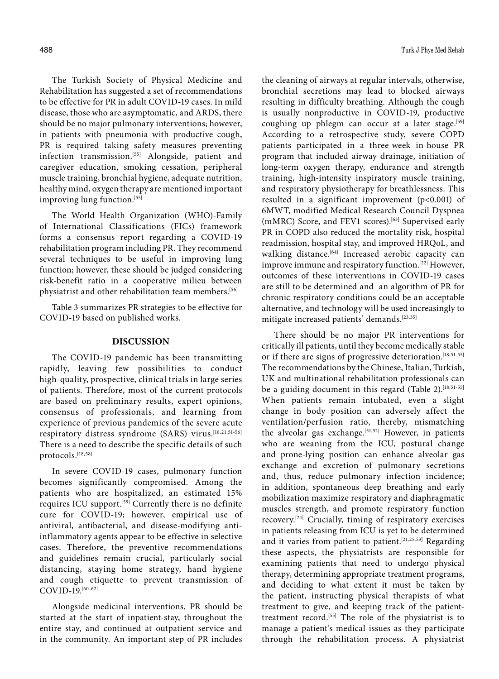The Turkish Society of Physical Medicine and Rehabilitation has suggested a set of recommendations to be effective for PR in adult COVID-19 cases. In mild disease, those who are asymptomatic, and ARDS, there should be no major pulmonary interventions; however, in patients with pneumonia with productive cough, PR is required taking safety measures preventing infection transmission.<sup>[55]</sup> Alongside, patient and caregiver education, smoking cessation, peripheral muscle training, bronchial hygiene, adequate nutrition, healthy mind, oxygen therapy are mentioned important improving lung function.[55]

The World Health Organization (WHO)-Family of International Classifications (FICs) framework forms a consensus report regarding a COVID-19 rehabilitation program including PR. They recommend several techniques to be useful in improving lung function; however, these should be judged considering risk-benefit ratio in a cooperative milieu between physiatrist and other rehabilitation team members.<sup>[56]</sup>

Table 3 summarizes PR strategies to be effective for COVID-19 based on published works.

## **DISCUSSION**

The COVID-19 pandemic has been transmitting rapidly, leaving few possibilities to conduct high-quality, prospective, clinical trials in large series of patients. Therefore, most of the current protocols are based on preliminary results, expert opinions, consensus of professionals, and learning from experience of previous pandemics of the severe acute respiratory distress syndrome (SARS) virus.[18,21,51-56] There is a need to describe the specific details of such protocols.[18,58]

In severe COVID-19 cases, pulmonary function becomes significantly compromised. Among the patients who are hospitalized, an estimated 15% requires ICU support.[59] Currently there is no definite cure for COVID-19; however, empirical use of antiviral, antibacterial, and disease-modifying antiinflammatory agents appear to be effective in selective cases. Therefore, the preventive recommendations and guidelines remain crucial, particularly social distancing, staying home strategy, hand hygiene and cough etiquette to prevent transmission of COVID-19.[60-62]

Alongside medicinal interventions, PR should be started at the start of inpatient-stay, throughout the entire stay, and continued at outpatient service and in the community. An important step of PR includes the cleaning of airways at regular intervals, otherwise, bronchial secretions may lead to blocked airways resulting in difficulty breathing. Although the cough is usually nonproductive in COVID-19, productive coughing up phlegm can occur at a later stage.<sup>[59]</sup> According to a retrospective study, severe COPD patients participated in a three-week in-house PR program that included airway drainage, initiation of long-term oxygen therapy, endurance and strength training, high-intensity inspiratory muscle training, and respiratory physiotherapy for breathlessness. This resulted in a significant improvement (p<0.001) of 6MWT, modified Medical Research Council Dyspnea (mMRC) Score, and FEV1 scores).<sup>[63]</sup> Supervised early PR in COPD also reduced the mortality risk, hospital readmission, hospital stay, and improved HRQoL, and walking distance.<sup>[64]</sup> Increased aerobic capacity can improve immune and respiratory function.[22] However, outcomes of these interventions in COVID-19 cases are still to be determined and an algorithm of PR for chronic respiratory conditions could be an acceptable alternative, and technology will be used increasingly to mitigate increased patients' demands.[23,35]

There should be no major PR interventions for critically ill patients, until they become medically stable or if there are signs of progressive deterioration.<sup>[18,51-55]</sup> The recommendations by the Chinese, Italian, Turkish, UK and multinational rehabilitation professionals can be a guiding document in this regard (Table 2).<sup>[18,51-55]</sup> When patients remain intubated, even a slight change in body position can adversely affect the ventilation/perfusion ratio, thereby, mismatching the alveolar gas exchange.<sup>[51,52]</sup> However, in patients who are weaning from the ICU, postural change and prone-lying position can enhance alveolar gas exchange and excretion of pulmonary secretions and, thus, reduce pulmonary infection incidence; in addition, spontaneous deep breathing and early mobilization maximize respiratory and diaphragmatic muscles strength, and promote respiratory function recovery.[24] Crucially, timing of respiratory exercises in patients releasing from ICU is yet to be determined and it varies from patient to patient.<sup>[21,25,53]</sup> Regarding these aspects, the physiatrists are responsible for examining patients that need to undergo physical therapy, determining appropriate treatment programs, and deciding to what extent it must be taken by the patient, instructing physical therapists of what treatment to give, and keeping track of the patienttreatment record.[55] The role of the physiatrist is to manage a patient's medical issues as they participate through the rehabilitation process. A physiatrist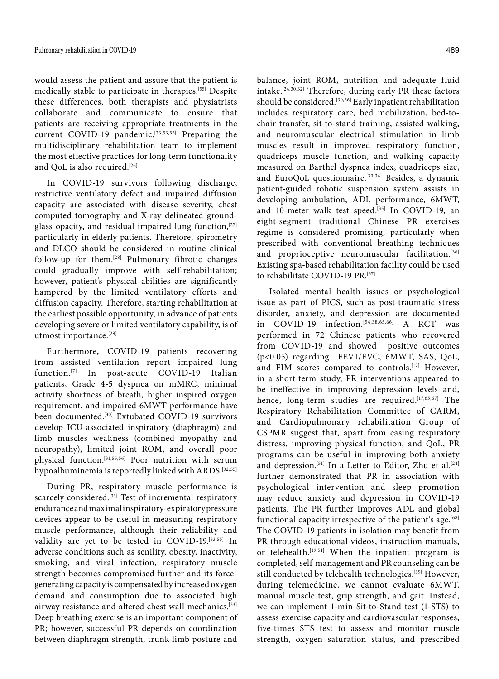would assess the patient and assure that the patient is medically stable to participate in therapies.[55] Despite these differences, both therapists and physiatrists collaborate and communicate to ensure that patients are receiving appropriate treatments in the current COVID-19 pandemic.<sup>[23,53,55]</sup> Preparing the multidisciplinary rehabilitation team to implement the most effective practices for long-term functionality and QoL is also required.[26]

In COVID-19 survivors following discharge, restrictive ventilatory defect and impaired diffusion capacity are associated with disease severity, chest computed tomography and X-ray delineated groundglass opacity, and residual impaired lung function,  $[27]$ particularly in elderly patients. Therefore, spirometry and DLCO should be considered in routine clinical follow-up for them.[28] Pulmonary fibrotic changes could gradually improve with self-rehabilitation; however, patient's physical abilities are significantly hampered by the limited ventilatory efforts and diffusion capacity. Therefore, starting rehabilitation at the earliest possible opportunity, in advance of patients developing severe or limited ventilatory capability, is of utmost importance.[29]

Furthermore, COVID-19 patients recovering from assisted ventilation report impaired lung function.[7] In post-acute COVID-19 Italian patients, Grade 4-5 dyspnea on mMRC, minimal activity shortness of breath, higher inspired oxygen requirement, and impaired 6MWT performance have been documented.<sup>[30]</sup> Extubated COVID-19 survivors develop ICU-associated inspiratory (diaphragm) and limb muscles weakness (combined myopathy and neuropathy), limited joint ROM, and overall poor physical function.[31,55,56] Poor nutrition with serum hypoalbuminemia is reportedly linked with ARDS.[32,55]

During PR, respiratory muscle performance is scarcely considered.<sup>[33]</sup> Test of incremental respiratory endurance and maximal inspiratory-expiratory pressure devices appear to be useful in measuring respiratory muscle performance, although their reliability and validity are yet to be tested in COVID-19.[33,55] In adverse conditions such as senility, obesity, inactivity, smoking, and viral infection, respiratory muscle strength becomes compromised further and its forcegenerating capacity is compensated by increased oxygen demand and consumption due to associated high airway resistance and altered chest wall mechanics.<sup>[33]</sup> Deep breathing exercise is an important component of PR; however, successful PR depends on coordination between diaphragm strength, trunk-limb posture and

balance, joint ROM, nutrition and adequate fluid intake.[24,30,32] Therefore, during early PR these factors should be considered.<sup>[30,56]</sup> Early inpatient rehabilitation includes respiratory care, bed mobilization, bed-tochair transfer, sit-to-stand training, assisted walking, and neuromuscular electrical stimulation in limb muscles result in improved respiratory function, quadriceps muscle function, and walking capacity measured on Barthel dyspnea index, quadriceps size, and EuroQoL questionnaire.[30,34] Besides, a dynamic patient-guided robotic suspension system assists in developing ambulation, ADL performance, 6MWT, and 10-meter walk test speed.<sup>[35]</sup> In COVID-19, an eight-segment traditional Chinese PR exercises regime is considered promising, particularly when prescribed with conventional breathing techniques and proprioceptive neuromuscular facilitation.<sup>[36]</sup> Existing spa-based rehabilitation facility could be used to rehabilitate COVID-19 PR.[37]

Isolated mental health issues or psychological issue as part of PICS, such as post-traumatic stress disorder, anxiety, and depression are documented in COVID-19 infection.[54,38,65,66] A RCT was performed in 72 Chinese patients who recovered from COVID-19 and showed positive outcomes (p<0.05) regarding FEV1/FVC, 6MWT, SAS, QoL, and FIM scores compared to controls.<sup>[17]</sup> However, in a short-term study, PR interventions appeared to be ineffective in improving depression levels and, hence, long-term studies are required.<sup>[17,65,67]</sup> The Respiratory Rehabilitation Committee of CARM, and Cardiopulmonary rehabilitation Group of CSPMR suggest that, apart from easing respiratory distress, improving physical function, and QoL, PR programs can be useful in improving both anxiety and depression.<sup>[51]</sup> In a Letter to Editor, Zhu et al.<sup>[24]</sup> further demonstrated that PR in association with psychological intervention and sleep promotion may reduce anxiety and depression in COVID-19 patients. The PR further improves ADL and global functional capacity irrespective of the patient's age.<sup>[68]</sup> The COVID-19 patients in isolation may benefit from PR through educational videos, instruction manuals, or telehealth.<sup>[19,51]</sup> When the inpatient program is completed, self-management and PR counseling can be still conducted by telehealth technologies.<sup>[39]</sup> However, during telemedicine, we cannot evaluate 6MWT, manual muscle test, grip strength, and gait. Instead, we can implement 1-min Sit-to-Stand test (1-STS) to assess exercise capacity and cardiovascular responses, five-times STS test to assess and monitor muscle strength, oxygen saturation status, and prescribed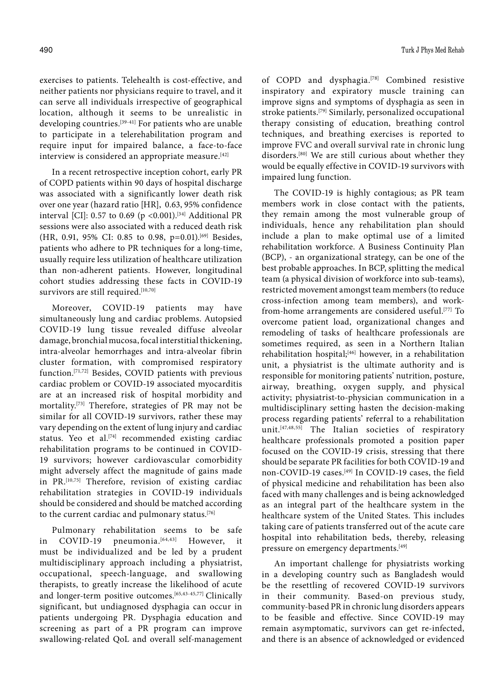exercises to patients. Telehealth is cost-effective, and neither patients nor physicians require to travel, and it can serve all individuals irrespective of geographical location, although it seems to be unrealistic in developing countries.[39-41] For patients who are unable to participate in a telerehabilitation program and require input for impaired balance, a face-to-face interview is considered an appropriate measure.<sup>[42]</sup>

In a recent retrospective inception cohort, early PR of COPD patients within 90 days of hospital discharge was associated with a significantly lower death risk over one year (hazard ratio [HR], 0.63, 95% confidence interval [CI]: 0.57 to 0.69 (p <0.001).<sup>[34]</sup> Additional PR sessions were also associated with a reduced death risk (HR, 0.91, 95% CI: 0.85 to 0.98, p=0.01).[69] Besides, patients who adhere to PR techniques for a long-time, usually require less utilization of healthcare utilization than non-adherent patients. However, longitudinal cohort studies addressing these facts in COVID-19 survivors are still required.<sup>[10,70]</sup>

Moreover, COVID-19 patients may have simultaneously lung and cardiac problems. Autopsied COVID-19 lung tissue revealed diffuse alveolar damage, bronchial mucosa, focal interstitial thickening, intra-alveolar hemorrhages and intra-alveolar fibrin cluster formation, with compromised respiratory function.[71,72] Besides, COVID patients with previous cardiac problem or COVID-19 associated myocarditis are at an increased risk of hospital morbidity and mortality.[73] Therefore, strategies of PR may not be similar for all COVID-19 survivors, rather these may vary depending on the extent of lung injury and cardiac status. Yeo et al. $[74]$  recommended existing cardiac rehabilitation programs to be continued in COVID-19 survivors; however cardiovascular comorbidity might adversely affect the magnitude of gains made in PR.[10,75] Therefore, revision of existing cardiac rehabilitation strategies in COVID-19 individuals should be considered and should be matched according to the current cardiac and pulmonary status.[76]

Pulmonary rehabilitation seems to be safe in COVID-19 pneumonia.<sup>[64,43]</sup> However, it must be individualized and be led by a prudent multidisciplinary approach including a physiatrist, occupational, speech-language, and swallowing therapists, to greatly increase the likelihood of acute and longer-term positive outcomes.[65,43-45,77] Clinically significant, but undiagnosed dysphagia can occur in patients undergoing PR. Dysphagia education and screening as part of a PR program can improve swallowing-related QoL and overall self-management of COPD and dysphagia.[78] Combined resistive inspiratory and expiratory muscle training can improve signs and symptoms of dysphagia as seen in stroke patients.[79] Similarly, personalized occupational therapy consisting of education, breathing control techniques, and breathing exercises is reported to improve FVC and overall survival rate in chronic lung disorders.[80] We are still curious about whether they would be equally effective in COVID-19 survivors with impaired lung function.

The COVID-19 is highly contagious; as PR team members work in close contact with the patients, they remain among the most vulnerable group of individuals, hence any rehabilitation plan should include a plan to make optimal use of a limited rehabilitation workforce. A Business Continuity Plan (BCP), - an organizational strategy, can be one of the best probable approaches. In BCP, splitting the medical team (a physical division of workforce into sub-teams), restricted movement amongst team members (to reduce cross-infection among team members), and workfrom-home arrangements are considered useful.[77] To overcome patient load, organizational changes and remodeling of tasks of healthcare professionals are sometimes required, as seen in a Northern Italian rehabilitation hospital;<sup>[46]</sup> however, in a rehabilitation unit, a physiatrist is the ultimate authority and is responsible for monitoring patients' nutrition, posture, airway, breathing, oxygen supply, and physical activity; physiatrist‐to‐physician communication in a multidisciplinary setting hasten the decision‐making process regarding patients' referral to a rehabilitation unit.[47,48,55] The Italian societies of respiratory healthcare professionals promoted a position paper focused on the COVID-19 crisis, stressing that there should be separate PR facilities for both COVID-19 and non-COVID-19 cases.[49] In COVID-19 cases, the field of physical medicine and rehabilitation has been also faced with many challenges and is being acknowledged as an integral part of the healthcare system in the healthcare system of the United States. This includes taking care of patients transferred out of the acute care hospital into rehabilitation beds, thereby, releasing pressure on emergency departments.<sup>[49]</sup>

An important challenge for physiatrists working in a developing country such as Bangladesh would be the resettling of recovered COVID-19 survivors in their community. Based-on previous study, community-based PR in chronic lung disorders appears to be feasible and effective. Since COVID-19 may remain asymptomatic, survivors can get re-infected, and there is an absence of acknowledged or evidenced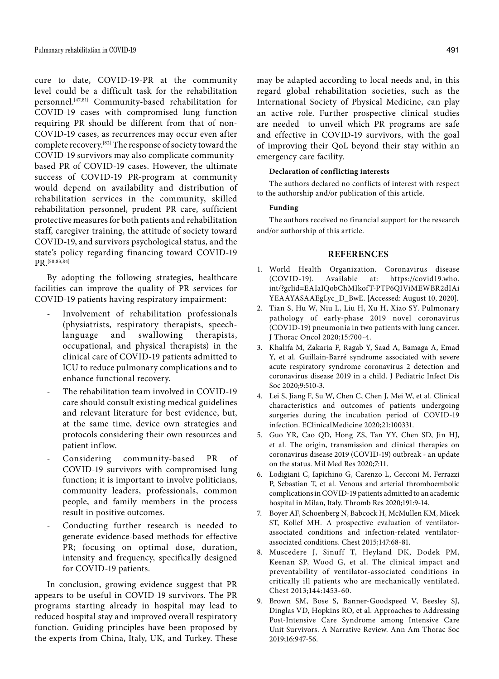cure to date, COVID-19-PR at the community level could be a difficult task for the rehabilitation personnel.[47,81] Community-based rehabilitation for COVID-19 cases with compromised lung function requiring PR should be different from that of non-COVID-19 cases, as recurrences may occur even after complete recovery.[82] The response of society toward the COVID-19 survivors may also complicate communitybased PR of COVID-19 cases. However, the ultimate success of COVID-19 PR-program at community would depend on availability and distribution of rehabilitation services in the community, skilled rehabilitation personnel, prudent PR care, sufficient protective measures for both patients and rehabilitation staff, caregiver training, the attitude of society toward COVID-19, and survivors psychological status, and the state's policy regarding financing toward COVID-19 PR.[50,83,84]

By adopting the following strategies, healthcare facilities can improve the quality of PR services for COVID-19 patients having respiratory impairment:

- Involvement of rehabilitation professionals (physiatrists, respiratory therapists, speechlanguage and swallowing therapists, occupational, and physical therapists) in the clinical care of COVID-19 patients admitted to ICU to reduce pulmonary complications and to enhance functional recovery.
- The rehabilitation team involved in COVID-19 care should consult existing medical guidelines and relevant literature for best evidence, but, at the same time, device own strategies and protocols considering their own resources and patient inflow.
- Considering community-based PR of COVID-19 survivors with compromised lung function; it is important to involve politicians, community leaders, professionals, common people, and family members in the process result in positive outcomes.
- Conducting further research is needed to generate evidence-based methods for effective PR; focusing on optimal dose, duration, intensity and frequency, specifically designed for COVID-19 patients.

In conclusion, growing evidence suggest that PR appears to be useful in COVID-19 survivors. The PR programs starting already in hospital may lead to reduced hospital stay and improved overall respiratory function. Guiding principles have been proposed by the experts from China, Italy, UK, and Turkey. These

may be adapted according to local needs and, in this regard global rehabilitation societies, such as the International Society of Physical Medicine, can play an active role. Further prospective clinical studies are needed to unveil which PR programs are safe and effective in COVID-19 survivors, with the goal of improving their QoL beyond their stay within an emergency care facility.

#### **Declaration of conflicting interests**

The authors declared no conflicts of interest with respect to the authorship and/or publication of this article.

#### **Funding**

The authors received no financial support for the research and/or authorship of this article.

## **REFERENCES**

- 1. World Health Organization. Coronavirus disease (COVID-19). Available at: https://covid19.who. int/?gclid=EAIaIQobChMIkofT-PTP6QIViMEWBR2dIAi YEAAYASAAEgLyc\_D\_BwE. [Accessed: August 10, 2020].
- 2. Tian S, Hu W, Niu L, Liu H, Xu H, Xiao SY. Pulmonary pathology of early-phase 2019 novel coronavirus (COVID-19) pneumonia in two patients with lung cancer. J Thorac Oncol 2020;15:700-4.
- 3. Khalifa M, Zakaria F, Ragab Y, Saad A, Bamaga A, Emad Y, et al. Guillain-Barré syndrome associated with severe acute respiratory syndrome coronavirus 2 detection and coronavirus disease 2019 in a child. J Pediatric Infect Dis Soc 2020;9:510-3.
- 4. Lei S, Jiang F, Su W, Chen C, Chen J, Mei W, et al. Clinical characteristics and outcomes of patients undergoing surgeries during the incubation period of COVID-19 infection. EClinicalMedicine 2020;21:100331.
- 5. Guo YR, Cao QD, Hong ZS, Tan YY, Chen SD, Jin HJ, et al. The origin, transmission and clinical therapies on coronavirus disease 2019 (COVID-19) outbreak - an update on the status. Mil Med Res 2020;7:11.
- 6. Lodigiani C, Iapichino G, Carenzo L, Cecconi M, Ferrazzi P, Sebastian T, et al. Venous and arterial thromboembolic complications in COVID-19 patients admitted to an academic hospital in Milan, Italy. Thromb Res 2020;191:9-14.
- 7. Boyer AF, Schoenberg N, Babcock H, McMullen KM, Micek ST, Kollef MH. A prospective evaluation of ventilatorassociated conditions and infection-related ventilatorassociated conditions. Chest 2015;147:68-81.
- 8. Muscedere J, Sinuff T, Heyland DK, Dodek PM, Keenan SP, Wood G, et al. The clinical impact and preventability of ventilator-associated conditions in critically ill patients who are mechanically ventilated. Chest 2013;144:1453-60.
- 9. Brown SM, Bose S, Banner-Goodspeed V, Beesley SJ, Dinglas VD, Hopkins RO, et al. Approaches to Addressing Post-Intensive Care Syndrome among Intensive Care Unit Survivors. A Narrative Review. Ann Am Thorac Soc 2019;16:947-56.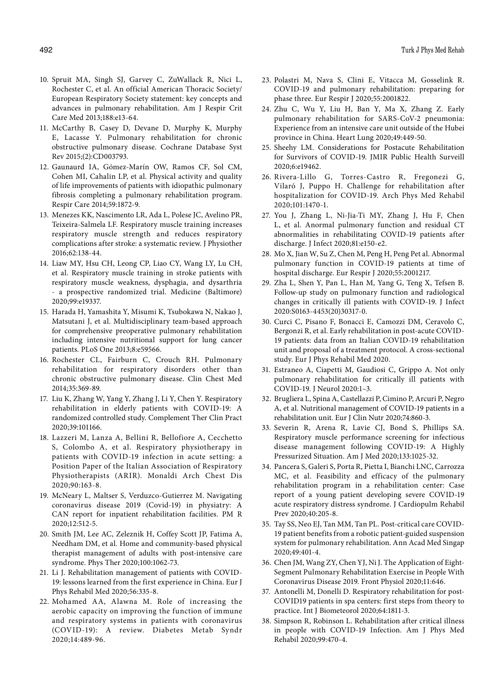- 10. Spruit MA, Singh SJ, Garvey C, ZuWallack R, Nici L, Rochester C, et al. An official American Thoracic Society/ European Respiratory Society statement: key concepts and advances in pulmonary rehabilitation. Am J Respir Crit Care Med 2013;188:e13-64.
- 11. McCarthy B, Casey D, Devane D, Murphy K, Murphy E, Lacasse Y. Pulmonary rehabilitation for chronic obstructive pulmonary disease. Cochrane Database Syst Rev 2015;(2):CD003793.
- 12. Gaunaurd IA, Gómez-Marín OW, Ramos CF, Sol CM, Cohen MI, Cahalin LP, et al. Physical activity and quality of life improvements of patients with idiopathic pulmonary fibrosis completing a pulmonary rehabilitation program. Respir Care 2014;59:1872-9.
- 13. Menezes KK, Nascimento LR, Ada L, Polese JC, Avelino PR, Teixeira-Salmela LF. Respiratory muscle training increases respiratory muscle strength and reduces respiratory complications after stroke: a systematic review. J Physiother 2016;62:138-44.
- 14. Liaw MY, Hsu CH, Leong CP, Liao CY, Wang LY, Lu CH, et al. Respiratory muscle training in stroke patients with respiratory muscle weakness, dysphagia, and dysarthria - a prospective randomized trial. Medicine (Baltimore) 2020;99:e19337.
- 15. Harada H, Yamashita Y, Misumi K, Tsubokawa N, Nakao J, Matsutani J, et al. Multidisciplinary team-based approach for comprehensive preoperative pulmonary rehabilitation including intensive nutritional support for lung cancer patients. PLoS One 2013;8:e59566.
- 16. Rochester CL, Fairburn C, Crouch RH. Pulmonary rehabilitation for respiratory disorders other than chronic obstructive pulmonary disease. Clin Chest Med 2014;35:369-89.
- 17. Liu K, Zhang W, Yang Y, Zhang J, Li Y, Chen Y. Respiratory rehabilitation in elderly patients with COVID-19: A randomized controlled study. Complement Ther Clin Pract 2020;39:101166.
- 18. Lazzeri M, Lanza A, Bellini R, Bellofiore A, Cecchetto S, Colombo A, et al. Respiratory physiotherapy in patients with COVID-19 infection in acute setting: a Position Paper of the Italian Association of Respiratory Physiotherapists (ARIR). Monaldi Arch Chest Dis 2020;90:163-8.
- 19. McNeary L, Maltser S, Verduzco-Gutierrez M. Navigating coronavirus disease 2019 (Covid-19) in physiatry: A CAN report for inpatient rehabilitation facilities. PM R 2020;12:512-5.
- 20. Smith JM, Lee AC, Zeleznik H, Coffey Scott JP, Fatima A, Needham DM, et al. Home and community-based physical therapist management of adults with post-intensive care syndrome. Phys Ther 2020;100:1062-73.
- 21. Li J. Rehabilitation management of patients with COVID-19: lessons learned from the first experience in China. Eur J Phys Rehabil Med 2020;56:335-8.
- 22. Mohamed AA, Alawna M. Role of increasing the aerobic capacity on improving the function of immune and respiratory systems in patients with coronavirus (COVID-19): A review. Diabetes Metab Syndr 2020;14:489-96.
- 23. Polastri M, Nava S, Clini E, Vitacca M, Gosselink R. COVID-19 and pulmonary rehabilitation: preparing for phase three. Eur Respir J 2020;55:2001822.
- 24. Zhu C, Wu Y, Liu H, Ban Y, Ma X, Zhang Z. Early pulmonary rehabilitation for SARS-CoV-2 pneumonia: Experience from an intensive care unit outside of the Hubei province in China. Heart Lung 2020;49:449-50.
- 25. Sheehy LM. Considerations for Postacute Rehabilitation for Survivors of COVID-19. JMIR Public Health Surveill 2020;6:e19462.
- 26. Rivera-Lillo G, Torres-Castro R, Fregonezi G, Vilaró J, Puppo H. Challenge for rehabilitation after hospitalization for COVID-19. Arch Phys Med Rehabil 2020;101:1470-1.
- 27. You J, Zhang L, Ni-Jia-Ti MY, Zhang J, Hu F, Chen L, et al. Anormal pulmonary function and residual CT abnormalities in rehabilitating COVID-19 patients after discharge. J Infect 2020;81:e150-e2.
- 28. Mo X, Jian W, Su Z, Chen M, Peng H, Peng Pet al. Abnormal pulmonary function in COVID-19 patients at time of hospital discharge. Eur Respir J 2020;55:2001217.
- 29. Zha L, Shen Y, Pan L, Han M, Yang G, Teng X, Tefsen B. Follow-up study on pulmonary function and radiological changes in critically ill patients with COVID-19. J Infect 2020:S0163-4453(20)30317-0.
- 30. Curci C, Pisano F, Bonacci E, Camozzi DM, Ceravolo C, Bergonzi R, et al. Early rehabilitation in post-acute COVID-19 patients: data from an Italian COVID-19 rehabilitation unit and proposal of a treatment protocol. A cross-sectional study. Eur J Phys Rehabil Med 2020.
- 31. Estraneo A, Ciapetti M, Gaudiosi C, Grippo A. Not only pulmonary rehabilitation for critically ill patients with COVID-19. J Neurol 2020:1–3.
- 32. Brugliera L, Spina A, Castellazzi P, Cimino P, Arcuri P, Negro A, et al. Nutritional management of COVID-19 patients in a rehabilitation unit. Eur J Clin Nutr 2020;74:860-3.
- 33. Severin R, Arena R, Lavie CJ, Bond S, Phillips SA. Respiratory muscle performance screening for infectious disease management following COVID-19: A Highly Pressurized Situation. Am J Med 2020;133:1025-32.
- 34. Pancera S, Galeri S, Porta R, Pietta I, Bianchi LNC, Carrozza MC, et al. Feasibility and efficacy of the pulmonary rehabilitation program in a rehabilitation center: Case report of a young patient developing severe COVID-19 acute respiratory distress syndrome. J Cardiopulm Rehabil Prev 2020;40:205-8.
- 35. Tay SS, Neo EJ, Tan MM, Tan PL. Post-critical care COVID-19 patient benefits from a robotic patient-guided suspension system for pulmonary rehabilitation. Ann Acad Med Singap 2020;49:401-4.
- 36. Chen JM, Wang ZY, Chen YJ, Ni J. The Application of Eight-Segment Pulmonary Rehabilitation Exercise in People With Coronavirus Disease 2019. Front Physiol 2020;11:646.
- 37. Antonelli M, Donelli D. Respiratory rehabilitation for post-COVID19 patients in spa centers: first steps from theory to practice. Int J Biometeorol 2020;64:1811-3.
- 38. Simpson R, Robinson L. Rehabilitation after critical illness in people with COVID-19 Infection. Am J Phys Med Rehabil 2020;99:470-4.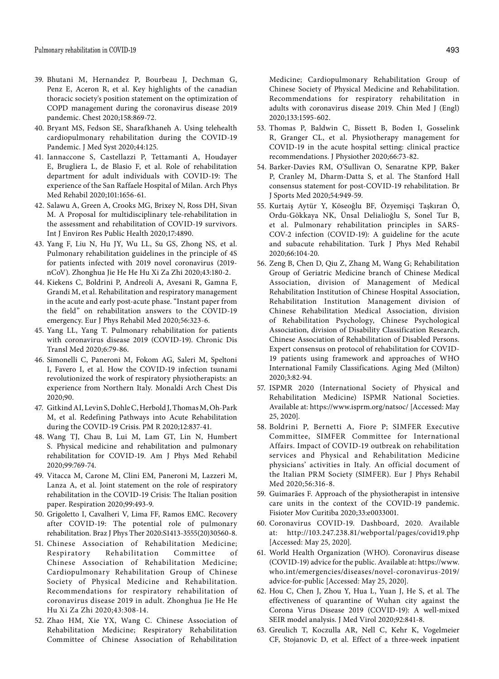- 39. Bhutani M, Hernandez P, Bourbeau J, Dechman G, Penz E, Aceron R, et al. Key highlights of the canadian thoracic society's position statement on the optimization of COPD management during the coronavirus disease 2019 pandemic. Chest 2020;158:869-72.
- 40. Bryant MS, Fedson SE, Sharafkhaneh A. Using telehealth cardiopulmonary rehabilitation during the COVID-19 Pandemic. J Med Syst 2020;44:125.
- 41. Iannaccone S, Castellazzi P, Tettamanti A, Houdayer E, Brugliera L, de Blasio F, et al. Role of rehabilitation department for adult individuals with COVID-19: The experience of the San Raffaele Hospital of Milan. Arch Phys Med Rehabil 2020;101:1656-61.
- 42. Salawu A, Green A, Crooks MG, Brixey N, Ross DH, Sivan M. A Proposal for multidisciplinary tele-rehabilitation in the assessment and rehabilitation of COVID-19 survivors. Int J Environ Res Public Health 2020;17:4890.
- 43. Yang F, Liu N, Hu JY, Wu LL, Su GS, Zhong NS, et al. Pulmonary rehabilitation guidelines in the principle of 4S for patients infected with 2019 novel coronavirus (2019 nCoV). Zhonghua Jie He He Hu Xi Za Zhi 2020;43:180-2.
- 44. Kiekens C, Boldrini P, Andreoli A, Avesani R, Gamna F, Grandi M, et al. Rehabilitation and respiratory management in the acute and early post-acute phase. "Instant paper from the field" on rehabilitation answers to the COVID-19 emergency. Eur J Phys Rehabil Med 2020;56:323-6.
- 45. Yang LL, Yang T. Pulmonary rehabilitation for patients with coronavirus disease 2019 (COVID-19). Chronic Dis Transl Med 2020;6:79-86.
- 46. Simonelli C, Paneroni M, Fokom AG, Saleri M, Speltoni I, Favero I, et al. How the COVID-19 infection tsunami revolutionized the work of respiratory physiotherapists: an experience from Northern Italy. Monaldi Arch Chest Dis 2020;90.
- 47. Gitkind AI, Levin S, Dohle C, Herbold J, Thomas M, Oh-Park M, et al. Redefining Pathways into Acute Rehabilitation during the COVID-19 Crisis. PM R 2020;12:837-41.
- 48. Wang TJ, Chau B, Lui M, Lam GT, Lin N, Humbert S. Physical medicine and rehabilitation and pulmonary rehabilitation for COVID-19. Am J Phys Med Rehabil 2020;99:769-74.
- 49. Vitacca M, Carone M, Clini EM, Paneroni M, Lazzeri M, Lanza A, et al. Joint statement on the role of respiratory rehabilitation in the COVID-19 Crisis: The Italian position paper. Respiration 2020;99:493-9.
- 50. Grigoletto I, Cavalheri V, Lima FF, Ramos EMC. Recovery after COVID-19: The potential role of pulmonary rehabilitation. Braz J Phys Ther 2020:S1413-3555(20)30560-8.
- 51. Chinese Association of Rehabilitation Medicine; Respiratory Rehabilitation Committee of Chinese Association of Rehabilitation Medicine; Cardiopulmonary Rehabilitation Group of Chinese Society of Physical Medicine and Rehabilitation. Recommendations for respiratory rehabilitation of coronavirus disease 2019 in adult. Zhonghua Jie He He Hu Xi Za Zhi 2020;43:308-14.
- 52. Zhao HM, Xie YX, Wang C. Chinese Association of Rehabilitation Medicine; Respiratory Rehabilitation Committee of Chinese Association of Rehabilitation

Medicine; Cardiopulmonary Rehabilitation Group of Chinese Society of Physical Medicine and Rehabilitation. Recommendations for respiratory rehabilitation in adults with coronavirus disease 2019. Chin Med J (Engl) 2020;133:1595-602.

- 53. Thomas P, Baldwin C, Bissett B, Boden I, Gosselink R, Granger CL, et al. Physiotherapy management for COVID-19 in the acute hospital setting: clinical practice recommendations. J Physiother 2020;66:73-82.
- 54. Barker-Davies RM, O'Sullivan O, Senaratne KPP, Baker P, Cranley M, Dharm-Datta S, et al. The Stanford Hall consensus statement for post-COVID-19 rehabilitation. Br J Sports Med 2020;54:949-59.
- 55. Kurtaiş Aytür Y, Köseoğlu BF, Özyemişçi Taşkıran Ö, Ordu-Gökkaya NK, Ünsal Delialioğlu S, Sonel Tur B, et al. Pulmonary rehabilitation principles in SARS-COV-2 infection (COVID-19): A guideline for the acute and subacute rehabilitation. Turk J Phys Med Rehabil 2020;66:104-20.
- 56. Zeng B, Chen D, Qiu Z, Zhang M, Wang G; Rehabilitation Group of Geriatric Medicine branch of Chinese Medical Association, division of Management of Medical Rehabilitation Institution of Chinese Hospital Association, Rehabilitation Institution Management division of Chinese Rehabilitation Medical Association, division of Rehabilitation Psychology, Chinese Psychological Association, division of Disability Classification Research, Chinese Association of Rehabilitation of Disabled Persons. Expert consensus on protocol of rehabilitation for COVID-19 patients using framework and approaches of WHO International Family Classifications. Aging Med (Milton) 2020;3:82-94.
- 57. ISPMR 2020 (International Society of Physical and Rehabilitation Medicine) ISPMR National Societies. Available at: https://www.isprm.org/natsoc/ [Accessed: May 25, 2020].
- 58. Boldrini P, Bernetti A, Fiore P; SIMFER Executive Committee, SIMFER Committee for International Affairs. Impact of COVID-19 outbreak on rehabilitation services and Physical and Rehabilitation Medicine physicians' activities in Italy. An official document of the Italian PRM Society (SIMFER). Eur J Phys Rehabil Med 2020;56:316-8.
- 59. Guimarães F. Approach of the physiotherapist in intensive care units in the context of the COVID-19 pandemic. Fisioter Mov Curitiba 2020;33:e0033001.
- 60. Coronavirus COVID-19. Dashboard, 2020. Available at: http://103.247.238.81/webportal/pages/covid19.php [Accessed: May 25, 2020].
- 61. World Health Organization (WHO). Coronavirus disease (COVID-19) advice for the public. Available at: https://www. who.int/emergencies/diseases/novel-coronavirus-2019/ advice-for-public [Accessed: May 25, 2020].
- 62. Hou C, Chen J, Zhou Y, Hua L, Yuan J, He S, et al. The effectiveness of quarantine of Wuhan city against the Corona Virus Disease 2019 (COVID-19): A well-mixed SEIR model analysis. J Med Virol 2020;92:841-8.
- 63. Greulich T, Koczulla AR, Nell C, Kehr K, Vogelmeier CF, Stojanovic D, et al. Effect of a three-week inpatient